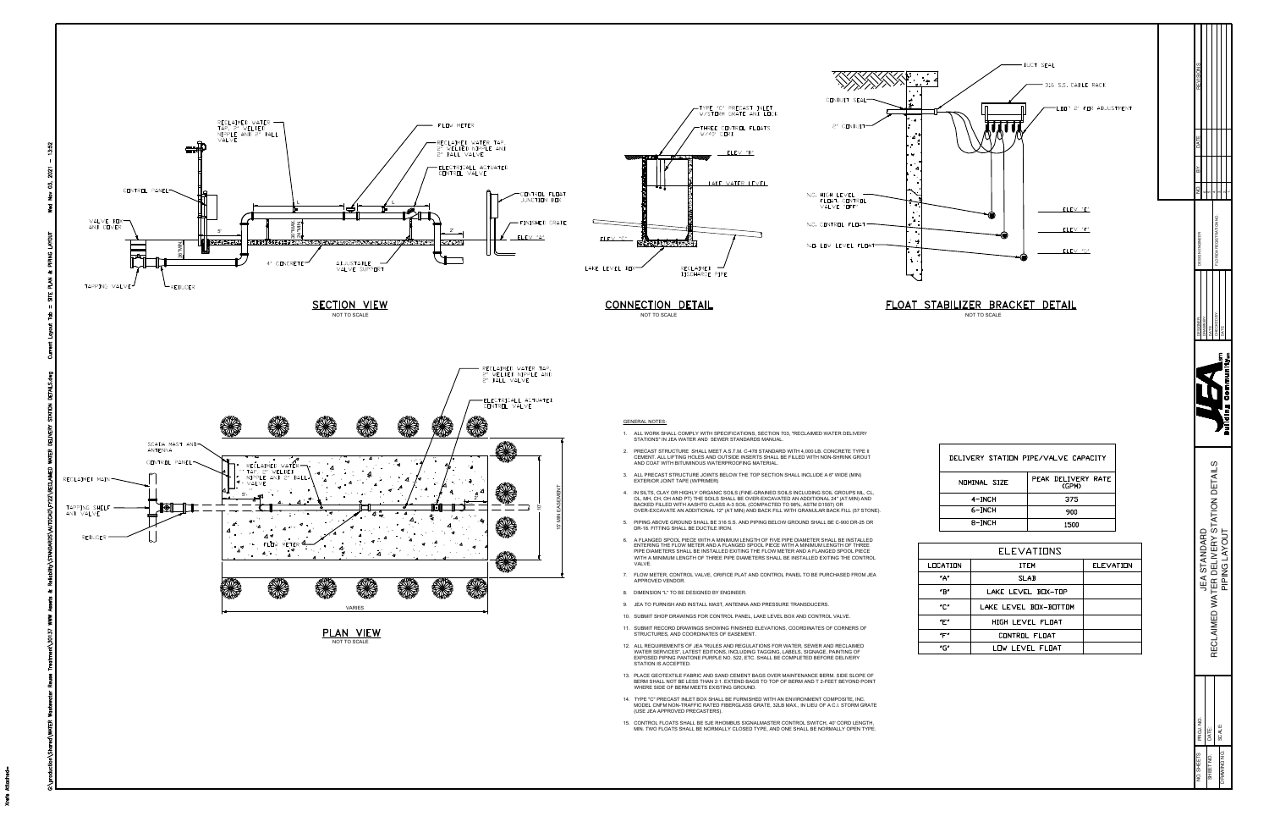

- 14. TYPE "C" PRECAST INLET BOX SHALL BE FURNISHED WITH AN ENVIRONMENT COMPOSITE, INC.<br>MODEL CNFM NON-TRAFFIC RATED FIBERGLASS GRATE, 32LB MAX., IN LIEU OF A C.I. STORM GRATE<br>(USE JEA APPROVED PRECASTERS).
- 15. CONTROL FLOATS SHALL BE SJE RHOMBUS SIGNALMASTER CONTROL SWITCH, 40' CORD LENGTH,

|              | DELIVERY STATION PIPE/VALVE CAPACITY |
|--------------|--------------------------------------|
| NOMINAL SIZE | PEAK DELIVERY RATE<br>(GPM)          |
| 4-INCH       | 375                                  |
| 6-INCH       | 900                                  |
| 8-INCH       | 1500                                 |

|                           | <b>ELEVATIONS</b>     |                  |
|---------------------------|-----------------------|------------------|
| OCATION                   | <b>ITEM</b>           | <b>ELEVATION</b> |
| ″Α″                       | <b>SLAB</b>           |                  |
| $^{\prime}$ B $^{\prime}$ | LAKE LEVEL BOX-TOP    |                  |
| "C"                       | LAKE LEVEL BOX-BOTTOM |                  |
| "E"                       | HIGH LEVEL FLOAT      |                  |
| "F"                       | CONTROL FLOAT         |                  |
| "G"                       | LOW LEVEL FLOAT       |                  |

| EVISION             |                     |                          |                                         |                   |               |   |
|---------------------|---------------------|--------------------------|-----------------------------------------|-------------------|---------------|---|
|                     |                     |                          |                                         |                   |               |   |
|                     |                     |                          |                                         |                   |               |   |
|                     |                     |                          |                                         |                   |               |   |
|                     |                     |                          | <b>EGISTRATION NC</b>                   |                   |               |   |
| <b>ESIGNER:</b>     | <b>IRAWN BY:</b>    |                          | <b>FCKFDBY</b>                          |                   |               |   |
|                     |                     |                          |                                         |                   |               | ī |
|                     |                     |                          | $\overline{c}$                          |                   |               |   |
|                     | <b>JEA STANDARD</b> |                          | RECLAIMED WATER DELIVERY STATION DETAIL |                   | PIPING LAYOUT |   |
| J. SHEETS PROJ. NO. |                     | SHEET NO. <b>I</b> DATE: |                                         | MAWING NO. SCALE: |               |   |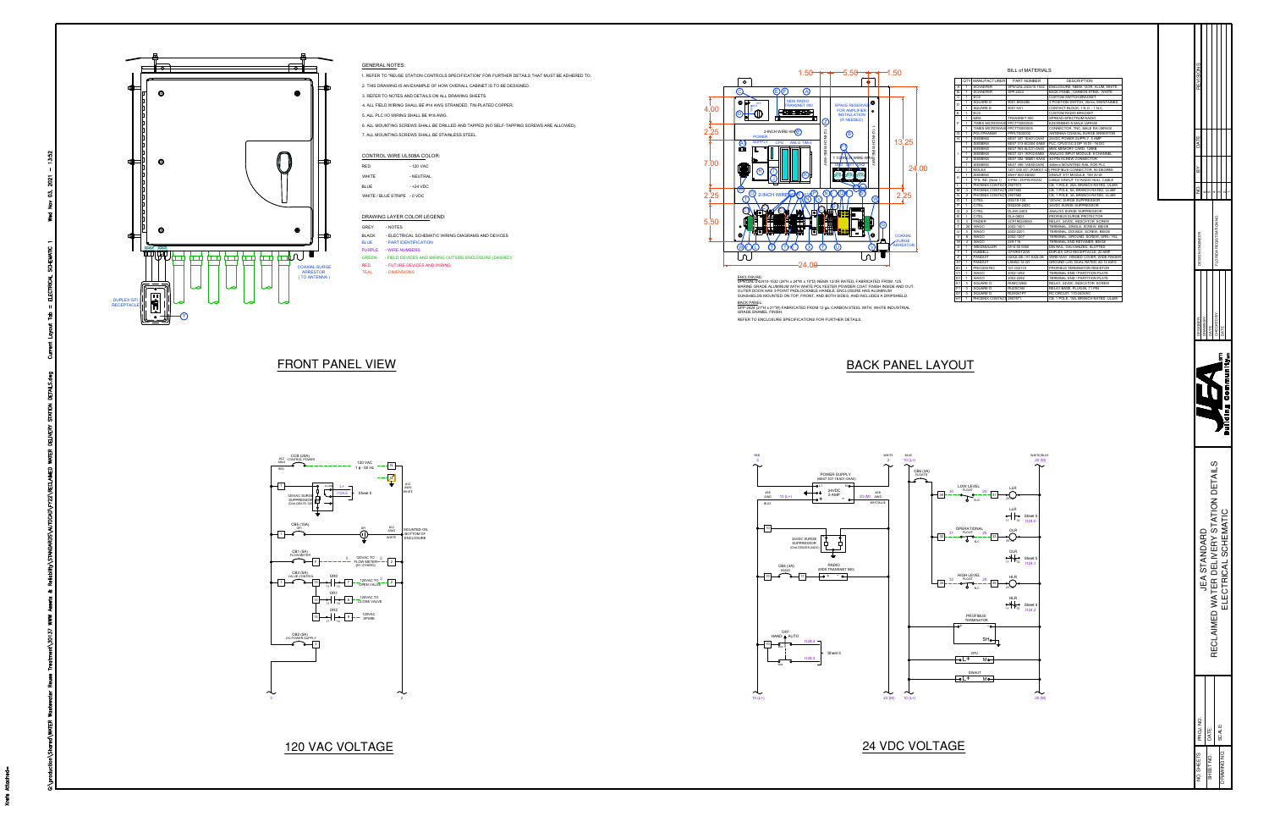# GENERAL NOTES:

1. REFER TO "REUSE STATION CONTROLS SPECIFICATION" FOR FURTHER DETAILS THAT MUST BE ADHERED TO. 2. THIS DRAWING IS AN EXAMPLE OF HOW OVERALL CABINET IS TO BE DESIGNED.

- .<br>2. THIS DRAWING IS AN EXAMPLE OF HOW OVERALL CABINET<br>3. REFER TO NOTES AND DETAILS ON ALL DRAWING SHEETS.
- 3. REFER TO NOTES AND DETAILS ON ALL DRAWING SHEETS.
- 4. ALL FIELD WIRING SHALL BE #14 AWG STRANDED, TIN-PLATED COPPER.<br>5. ALL PLC I/O WIRING SHALL BE #18 AWG.
- 
- 5. ALL PLC I/O WIRING SHALL BE #18 AWG.<br>6. ALL MOUNTING SCREWS SHALL BE DRILLED AND TAPPED (NO SELF-TAPPING SCREWS ARE ALLOWED). 6. Al<br>7. Al<br>COI<br>RED
- 

8. ALL MOUNTING SCREWS SHALL BE DRILLED AND TAPE<br>7. ALL MOUNTING SCREWS SHALL BE STAINLESS STEEL.<br>CONTROL WIRE UL508A COLOR:<br>RED - 120 VAC<br>WHITE - NEUTRAL<br>BLUE - +24 VDC<br>WHITE / RI UF STRIPF - 0 VDC CONTROL WIRE UL508A COLOR: WHITE CON<br>RED<br>WHIT<br>BLUE - +24 VDC<br>WHITE / BLUE STRIPE - 0 VDC<br>DRAWING LAYER COLOR LEG<br>BLACK - - RART IDENTIFICATION<br>BLUE - - PART IDENTIFICATION

# WHITE / BLUE STRIPE - 0 VDC<br>DRAWING LAYER COLOR LEGEND:

- WHITE / BLUE STRIPE 0 VDC<br>DRAWING LAYER COLOR LEGEND:<br>BLACK - NOTES<br>BLUE - PART IDENTIFICATION<br>BLUE - PART IDENTIFICATION
- 
- 
- 
- 





SURSHIELDS MOUNTED ON TOP, PRONT, AND BOTH SIDES, AND I<br><u>BACK PANEL:</u><br>GRADE ENAMEL FINISH.<br>GRADE ENAMEL FINISH.<br>REFER TO ENCLOSURE SPECIFICATIONS FOR FURTHER DETAILS.



|                         |                      |                                    | <b>BILL of MATERIALS</b>        |                                                                       |
|-------------------------|----------------------|------------------------------------|---------------------------------|-----------------------------------------------------------------------|
|                         | <b>QTY</b>           | <b>MANUFACTURER</b>                | PART NUMBER                     | <b>DESCRIPTION</b>                                                    |
|                         |                      |                                    |                                 |                                                                       |
| A<br>B                  | 1<br>1               | <b>SCHAEFER</b><br><b>SCHAEFER</b> | SPN12AL-242410-1532<br>SPP-2424 | ENCLOSURE. NEMA 12/3R. ALUM. WHITE<br>BACK PANEL, CARBON STEEL, WHITE |
| $\overline{c}$          | 1                    | ECS                                |                                 | <b>CUSTOM SWITCH BRACKET</b>                                          |
|                         | $\ddot{\phantom{1}}$ | SQUARE D                           | 9001 SKS43B                     | 3 POSITION SWITCH, 30mm, MAINTAINED                                   |
| D                       | 1                    | SQUARE D                           | 9001 KA1                        | CONTACT BLOCK. 1 N.O. - 1 N.C.                                        |
| E                       | $\ddot{\phantom{1}}$ | <b>FCS</b>                         |                                 | <b>CUSTOM RADIO BRACKET</b>                                           |
|                         | 1                    | <b>MDS</b>                         | TRANSNET 900                    | SPREAD-SPECTRUM RADIO                                                 |
| F                       | 1                    | <b>TIMES MICROWAVE</b>             | FPCTTS000026                    | EZ400NMHD N MALE LMR400                                               |
|                         | 1                    | <b>TIMES MICROWAVE</b>             | <b>FPCTTS000005</b>             | CONNECTOR, TNC, MALE RA LMR400                                        |
| G                       | 1                    | POLYPHASER                         | <b>FPPLTS00002</b>              | ANTENNA COAXIAL SURGE ARRESTOR                                        |
| $\overline{H}$          | $\overline{1}$       | <b>SIEMENS</b>                     | 6ES7 307-1EA01-0AA0             | 24VDC POWER SUPPLY, 5 AMP                                             |
|                         | 1                    | <b>SIEMENS</b>                     | 6ES7 313-6CG04-0AB0             | PLC, CPU313C-2 DP 16 DI - 16 DO                                       |
|                         | $\ddot{\phantom{1}}$ | <b>SIEMENS</b>                     | 6ES7 953-8LG31-0AA0             | MMC MEMORY CARD. 128KB                                                |
| ı                       | 1                    | <b>SIEMENS</b>                     | 6ES7 331-1KF02-0AB0             | ANALOG INPUT MODULE, 8 CHANNEL                                        |
|                         | $\overline{2}$       | <b>SIEMENS</b>                     | 6ES7 392-1BM01-0AA0             | 40-PIN SCREW CONNECTOR                                                |
|                         | 1                    | <b>SIEMENS</b>                     | 6ES7 390-1AE80-0AA0             | 480mm MOUNTING RAIL FOR PLC                                           |
| J                       | 1                    | <b>MOLEX</b>                       | 1201 030 001 (PA9D01-4          | 1) PROFIBUS CONNECTOR, 90-DEGREE                                      |
| K                       | 1                    | <b>SIEMENS</b>                     | 6NH7 800-3BA00                  | SINAUT ST7 MODULE. TIM 3V-IE                                          |
|                         | 1                    | TFS, INC (Note 1)                  | 9-PIN / 25-PIN RS232            | CABLE SINAUT TO RADIO NULL CABLE                                      |
| т.                      | $\ddot{\phantom{1}}$ | PHOENIX CONTACT                    | 2907573                         | CB. 1 POLE. 20A. BRANCH RATED. UL489                                  |
| M                       | 3                    | PHOENIX CONTACT                    | 2907562                         | CB. 1 POLE. 5A. BRANCH RATED. UL489                                   |
| N                       | $\overline{2}$       | PHOENIX CONTAC'                    | 2907560                         | CB, 1 POLE, 3A, BRANCH RATED, UL489                                   |
| $\Omega$                | $\ddot{\phantom{1}}$ | CITEL                              | DS41S-120                       | 120VAC SURGE SUPPRESSOR                                               |
| P                       | 1                    | CITEL                              | DS220S-24DC                     | 24VDC SURGE SUPPRESSOR                                                |
| Q                       | $\overline{2}$       | CITEL                              | <b>DLAW-24D3</b>                | ANALOG SURGE SUPPRESSOR                                               |
| R                       | 1                    | CITEL                              | DLA-06D3                        | PROFIBUS SURGE PROTECTOR                                              |
| s                       | 3                    | <b>FINDER</b>                      | 4CP190245050                    | RELAY, 24VDC, INDICATOR, SCREW                                        |
| т<br>$\overline{U}$     | 20                   | WAGO<br><b>WAGO</b>                | 2002-1401                       | TERMINAL, SINGLE, SCREW, BEIGE                                        |
| v                       | 3<br>6               | WAGO                               | 2002-2201<br>2002-1207          | TERMINAL, DOUBLE, SCREW, BEIGE                                        |
| W                       | $\overline{4}$       | WAGO                               | 249-116                         | TERMINAL, GROUND, SCREW, GRN / YEL<br>TERMINAL END RETAINER. BEIGE    |
| $\overline{\mathsf{x}}$ | 1                    | WEIDMULLER                         | 0514 50 0000                    | DIN RAIL, GALVANIZED, SLOTTED                                         |
| Y                       | $\ddot{\phantom{1}}$ | <b>HUBBELL</b>                     | GFWRST20W                       | DUPLEX GFCI RECEPTACLE, 20 AMP                                        |
| z                       | $\ddot{\phantom{1}}$ | PANDUIT                            | H2X2LG6 / H1.5X2LG6             | WIRE-WAY, HINGED COVER, WIDE FINGER                                   |
| A1                      | 1                    | PANDUIT                            | LAMA2-14-QY                     | GROUND LUG. DUAL RATED. #2-14 AWG                                     |
| B1                      | 1                    | PROCENTEC                          | 101-00211A                      | PROFIBUS TERMINATOR RESISTOR                                          |
| C1                      | 1                    | <b>WAGO</b>                        | 2002-1492                       | TERMINAL END / PARTITION PLATE                                        |
| D <sub>1</sub>          | 1                    | WAGO                               | 2002-2292                       | TERMINAL END / PARTITION PLATE                                        |
| E1                      |                      | SQUARE D                           | RUMC32BD                        | RELAY, 24VDC, INDICATOR, SCREW                                        |
| F <sub>1</sub>          | 3                    | SQUARE D                           | RUZSC3M                         | RELAY BASE, PLUG-IN, 11 PIN                                           |
| G1                      | 3                    | SQUARE D                           | <b>RUW241P7</b>                 | RC CIRCUIT. 110-240VAC                                                |
| H <sub>1</sub>          | 1                    | PHOENIX CONTACT                    | 2907571                         | CB. 1 POLE. 15A. BRANCH RATED. UL489                                  |
|                         |                      |                                    |                                 |                                                                       |





(refs

| ź      |                 | i<br>S                                |                      |  |
|--------|-----------------|---------------------------------------|----------------------|--|
| SIGNER | <b>JRAWN BY</b> | "CKED BY:                             |                      |  |
|        |                 |                                       |                      |  |
|        | JEA STANDARD    | RECLAIMED WATER DELIVERY STATION DET/ | ELECTRICAL SCHEMATIC |  |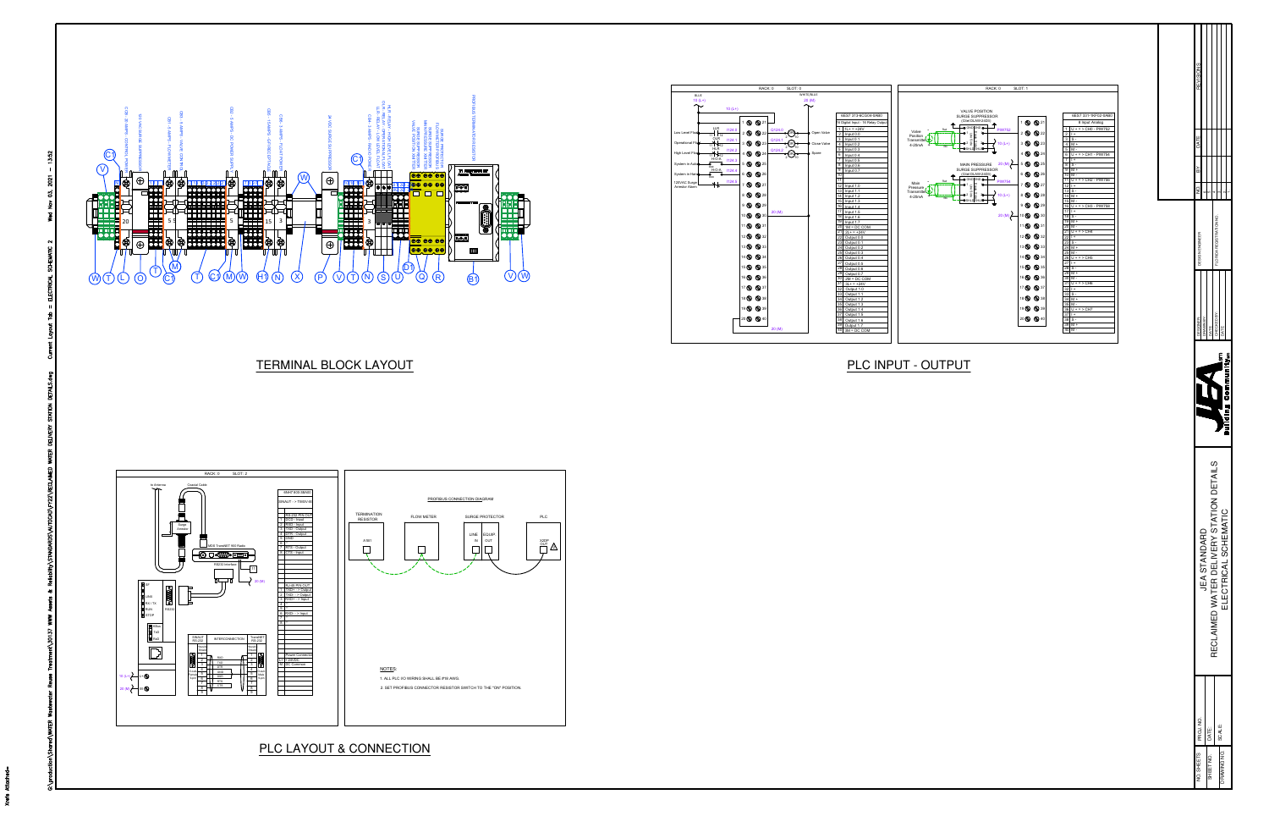

(refs





| EVISION         |                     |       |                                       |                    |                      |  |
|-----------------|---------------------|-------|---------------------------------------|--------------------|----------------------|--|
| 4               |                     |       |                                       |                    |                      |  |
|                 |                     |       | o<br>Ko<br>IDA REGISTRAT              |                    |                      |  |
| <b>ESIGNER:</b> | <b>PAWN BY:</b>     | í     | HECKED BY:                            |                    |                      |  |
|                 |                     |       |                                       |                    |                      |  |
|                 |                     |       |                                       |                    |                      |  |
|                 | <b>JEA STANDARD</b> |       | RECLAIMED WATER DELIVERY STATION DET. |                    | ELECTRICAL SCHEMATIC |  |
| PROJ, NO.       |                     | DATE: |                                       | T <sub>SCALE</sub> |                      |  |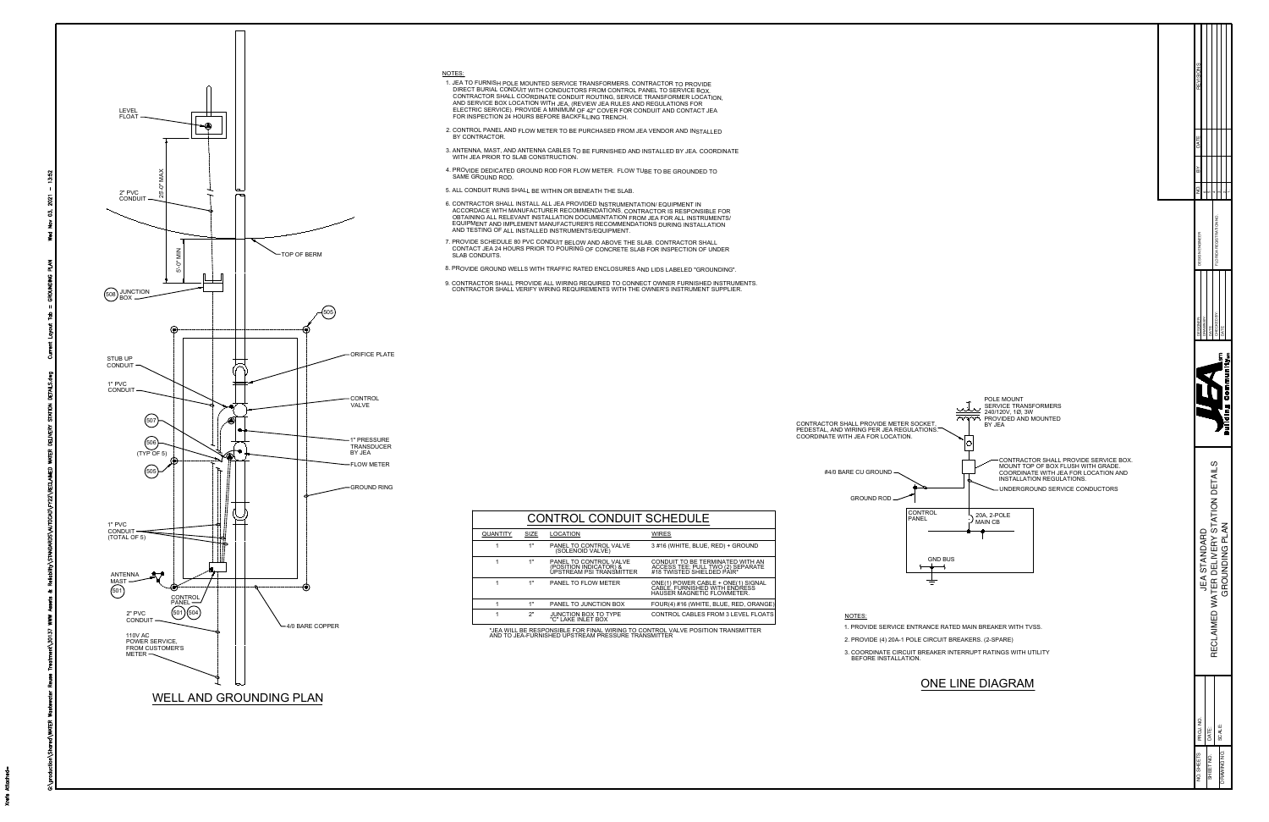

- 
- 
- 
- 
- 
- 
- 
- 
-